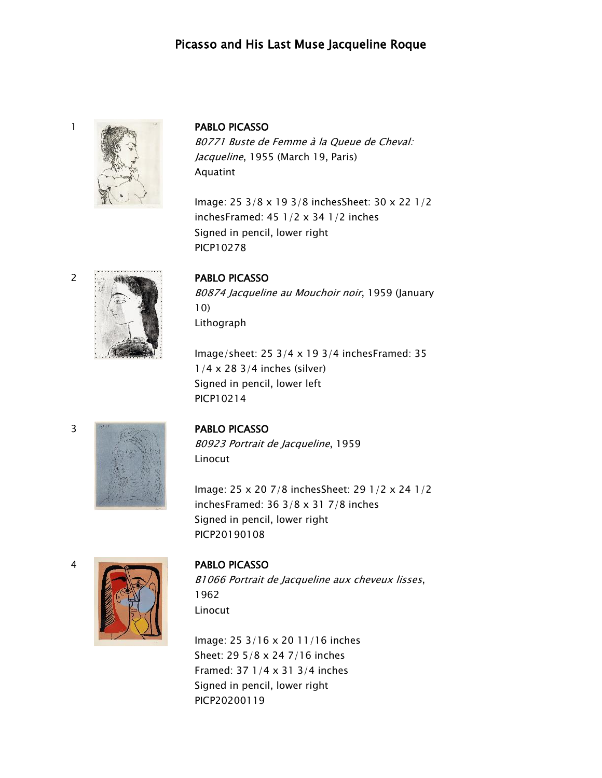# Picasso and His Last Muse Jacqueline Roque



B0771 Buste de Femme à la Queue de Cheval: Jacqueline, 1955 (March 19, Paris) Aquatint

Image: 25 3/8 x 19 3/8 inchesSheet: 30 x 22 1/2 inchesFramed: 45 1/2 x 34 1/2 inches Signed in pencil, lower right PICP10278



B0874 Jacqueline au Mouchoir noir, 1959 (January 10) Lithograph

Image/sheet: 25 3/4 x 19 3/4 inchesFramed: 35 1/4 x 28 3/4 inches (silver) Signed in pencil, lower left PICP10214



B0923 Portrait de Jacqueline, 1959 Linocut

Image: 25 x 20 7/8 inchesSheet: 29 1/2 x 24 1/2 inchesFramed: 36 3/8 x 31 7/8 inches Signed in pencil, lower right PICP20190108



B1066 Portrait de Jacqueline aux cheveux lisses, 1962 Linocut

Image: 25 3/16 x 20 11/16 inches Sheet: 29 5/8 x 24 7/16 inches Framed: 37 1/4 x 31 3/4 inches Signed in pencil, lower right PICP20200119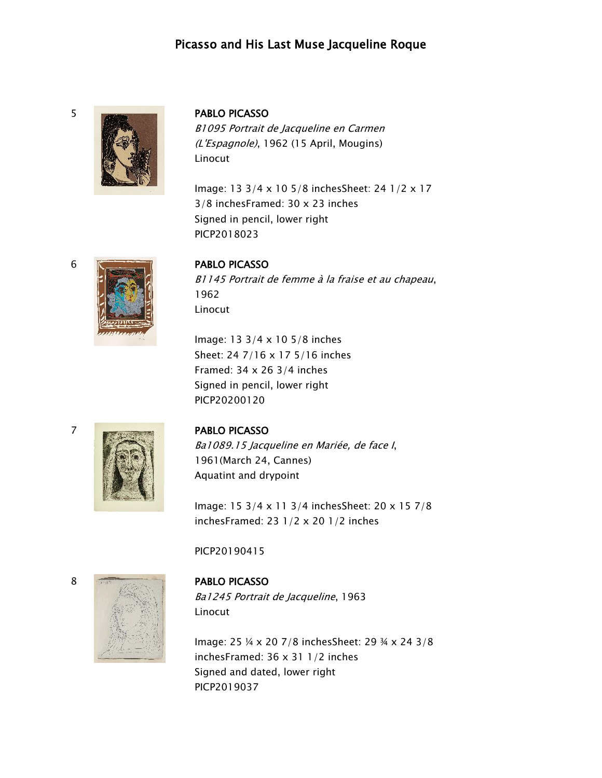## Picasso and His Last Muse Jacqueline Roque



B1095 Portrait de Jacqueline en Carmen (L'Espagnole), 1962 (15 April, Mougins) Linocut

Image: 13 3/4 x 10 5/8 inchesSheet: 24 1/2 x 17 3/8 inchesFramed: 30 x 23 inches Signed in pencil, lower right PICP2018023

### 6 PABLO PICASSO

B1145 Portrait de femme à la fraise et au chapeau, 1962 Linocut

Image: 13 3/4 x 10 5/8 inches Sheet: 24 7/16 x 17 5/16 inches Framed: 34 x 26 3/4 inches Signed in pencil, lower right PICP20200120

### 7 PABLO PICASSO

Ba1089.15 Jacqueline en Mariée, de face I, 1961(March 24, Cannes) Aquatint and drypoint

Image: 15 3/4 x 11 3/4 inchesSheet: 20 x 15 7/8 inchesFramed: 23 1/2 x 20 1/2 inches

### PICP20190415



# Ba1245 Portrait de Jacqueline, 1963 Linocut

Image: 25 ¼ x 20 7/8 inchesSheet: 29 ¾ x 24 3/8 inchesFramed: 36 x 31 1/2 inches Signed and dated, lower right PICP2019037